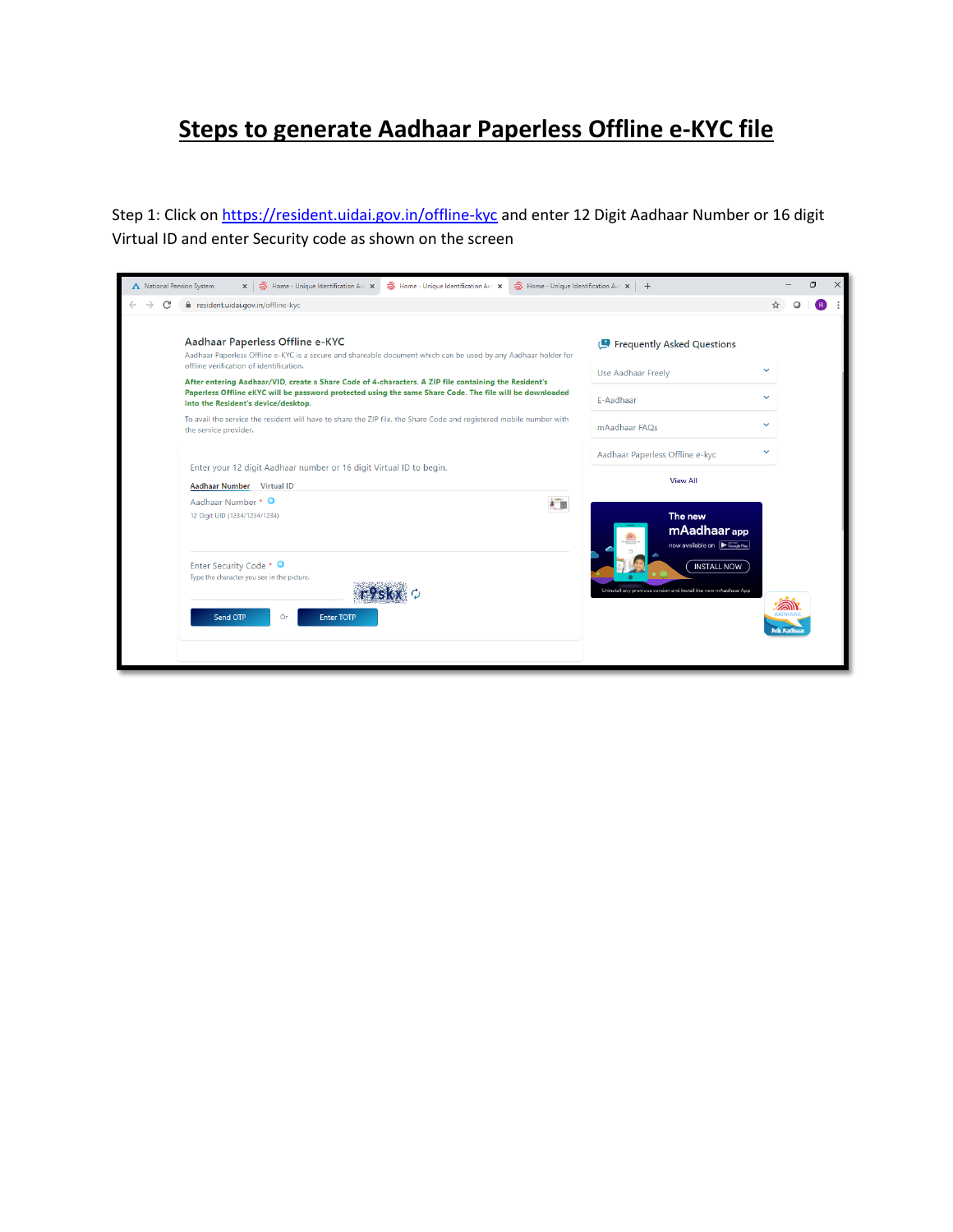## **Steps to generate Aadhaar Paperless Offline e-KYC file**

Step 1: Click o[n https://resident.uidai.gov.in/offline-kyc](https://resident.uidai.gov.in/offline-kyc) and enter 12 Digit Aadhaar Number or 16 digit Virtual ID and enter Security code as shown on the screen

| Home - Unique Identification Aut X<br>A National Pension System<br>$\times$ $\otimes$ Home - Unique Identification Aut $\times$<br>$\widehat{\mathbf{a}}$ Home - Unique Identification Aut $\mathbf{x}$ + |                                                                                                                                                                                                                                                                                                                                                                                                                                                                                                                                                                                 |                                                                                                  |                  |
|-----------------------------------------------------------------------------------------------------------------------------------------------------------------------------------------------------------|---------------------------------------------------------------------------------------------------------------------------------------------------------------------------------------------------------------------------------------------------------------------------------------------------------------------------------------------------------------------------------------------------------------------------------------------------------------------------------------------------------------------------------------------------------------------------------|--------------------------------------------------------------------------------------------------|------------------|
| С                                                                                                                                                                                                         | e resident.uidai.gov.in/offline-kyc                                                                                                                                                                                                                                                                                                                                                                                                                                                                                                                                             |                                                                                                  |                  |
|                                                                                                                                                                                                           | Aadhaar Paperless Offline e-KYC<br>Aadhaar Paperless Offline e-KYC is a secure and shareable document which can be used by any Aadhaar holder for<br>offline verification of identification.<br>After entering Aadhaar/VID, create a Share Code of 4-characters. A ZIP file containing the Resident's<br>Paperless Offline eKYC will be password protected using the same Share Code. The file will be downloaded<br>into the Resident's device/desktop.<br>To avail the service the resident will have to share the ZIP file, the Share Code and registered mobile number with | Frequently Asked Questions<br>Use Aadhaar Freely<br>E-Aadhaar                                    | $\check{ }$      |
|                                                                                                                                                                                                           | the service provider.<br>Enter your 12 digit Aadhaar number or 16 digit Virtual ID to begin.                                                                                                                                                                                                                                                                                                                                                                                                                                                                                    | mAadhaar FAQs<br>Aadhaar Paperless Offline e-kyc<br><b>View All</b>                              |                  |
|                                                                                                                                                                                                           | Aadhaar Number Virtual ID<br>Aadhaar Number * O<br>$1 - \frac{1}{2}$<br>12 Digit UID (1234/1234/1234)                                                                                                                                                                                                                                                                                                                                                                                                                                                                           | The new<br>mAadhaar app<br>now available on $\sqrt{\frac{1}{1+\frac{1}{2} \csc(1+\frac{1}{2})}}$ |                  |
|                                                                                                                                                                                                           | Enter Security Code * O<br>Type the character you see in the picture.<br>Send OTP<br><b>Enter TOTP</b><br>Or                                                                                                                                                                                                                                                                                                                                                                                                                                                                    | <b>INSTALL NOW</b><br>Uninstall any previous version and Install the new mAadhaar App            | <b>Isk Aadha</b> |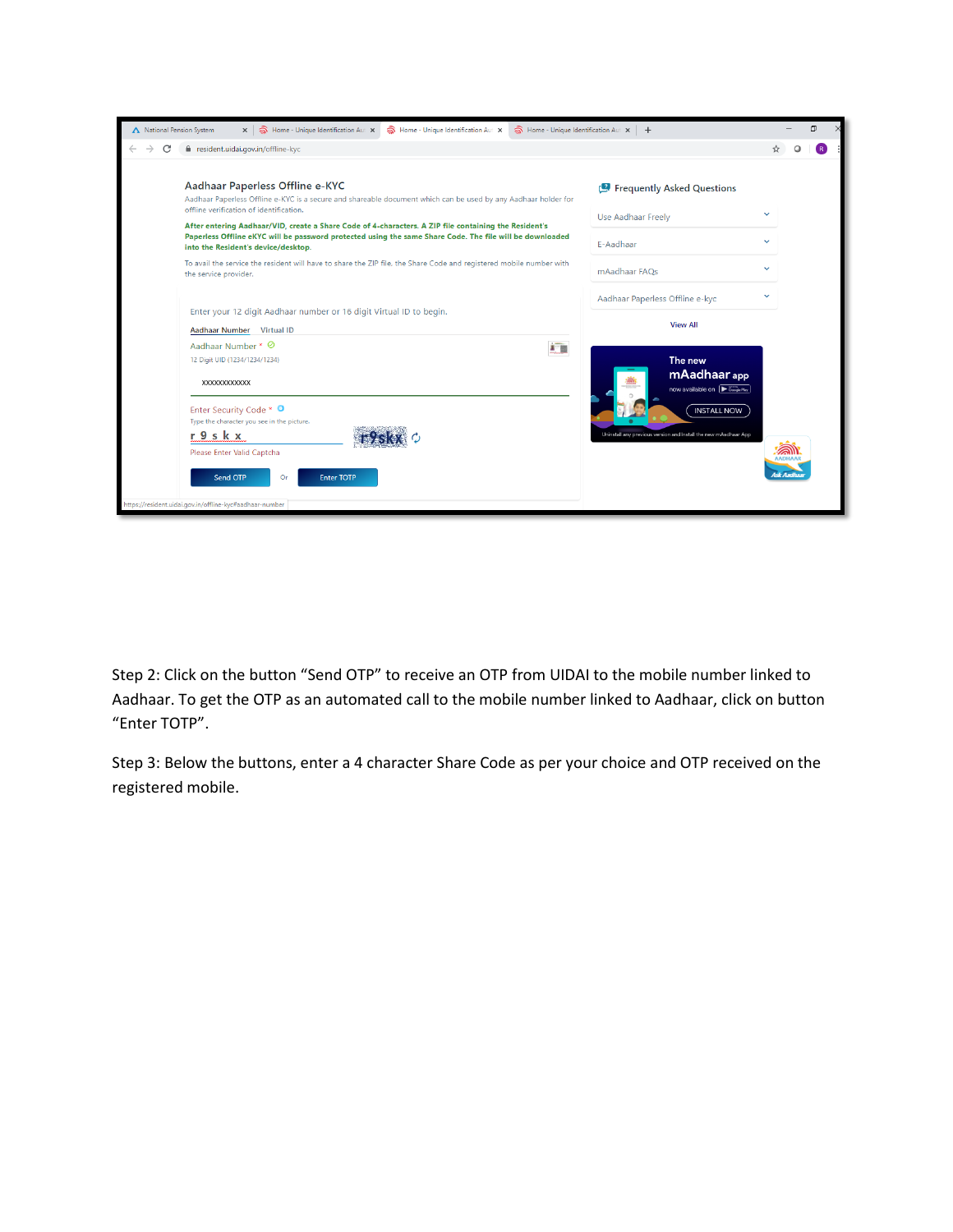| Home - Unique Identification Aut X<br>$\widehat{\mathbb{R}}$ Home - Unique Identification Aut $\times$ $+$<br>A National Pension System<br>A Home - Unique Identification Aut X<br>$\times$ |                                                                                                                                                                                                                                                                                                                                                                                                                                                                                                                                                                                 |                                                                                       |                                             |
|---------------------------------------------------------------------------------------------------------------------------------------------------------------------------------------------|---------------------------------------------------------------------------------------------------------------------------------------------------------------------------------------------------------------------------------------------------------------------------------------------------------------------------------------------------------------------------------------------------------------------------------------------------------------------------------------------------------------------------------------------------------------------------------|---------------------------------------------------------------------------------------|---------------------------------------------|
| С                                                                                                                                                                                           | e resident.uidai.gov.in/offline-kyc                                                                                                                                                                                                                                                                                                                                                                                                                                                                                                                                             |                                                                                       |                                             |
|                                                                                                                                                                                             | Aadhaar Paperless Offline e-KYC<br>Aadhaar Paperless Offline e-KYC is a secure and shareable document which can be used by any Aadhaar holder for<br>offline verification of identification.<br>After entering Aadhaar/VID, create a Share Code of 4-characters. A ZIP file containing the Resident's<br>Paperless Offline eKYC will be password protected using the same Share Code. The file will be downloaded<br>into the Resident's device/desktop.<br>To avail the service the resident will have to share the ZIP file, the Share Code and registered mobile number with | <b>P</b> Frequently Asked Questions<br>Use Aadhaar Freely<br>E-Aadhaar                | $\checkmark$<br>$\checkmark$<br>$\check{ }$ |
|                                                                                                                                                                                             | the service provider.<br>Enter your 12 digit Aadhaar number or 16 digit Virtual ID to begin.<br>Aadhaar Number Virtual ID                                                                                                                                                                                                                                                                                                                                                                                                                                                       | mAadhaar FAOs<br>Aadhaar Paperless Offline e-kyc<br><b>View All</b>                   | $\check{ }$                                 |
|                                                                                                                                                                                             | Aadhaar Number * ⊘<br><b>D</b><br>12 Digit UID (1234/1234/1234)<br><b>XXXXXXXXXXXX</b>                                                                                                                                                                                                                                                                                                                                                                                                                                                                                          | The new<br>mAadhaar app<br>now available on $\sqrt{\sum_{\text{Google Pay}}$          |                                             |
|                                                                                                                                                                                             | Enter Security Code * O<br>Type the character you see in the picture.<br>r 9 s k x<br>Please Enter Valid Captcha<br>Send OTP<br><b>Enter TOTP</b><br>Or<br>https://resident.uidai.gov.in/offline-kyc#aadhaar-number                                                                                                                                                                                                                                                                                                                                                             | <b>INSTALL NOW</b><br>Uninstall any previous version and Install the new mAadhaar App | <b>Isk Aadha</b>                            |

Step 2: Click on the button "Send OTP" to receive an OTP from UIDAI to the mobile number linked to Aadhaar. To get the OTP as an automated call to the mobile number linked to Aadhaar, click on button "Enter TOTP".

Step 3: Below the buttons, enter a 4 character Share Code as per your choice and OTP received on the registered mobile.